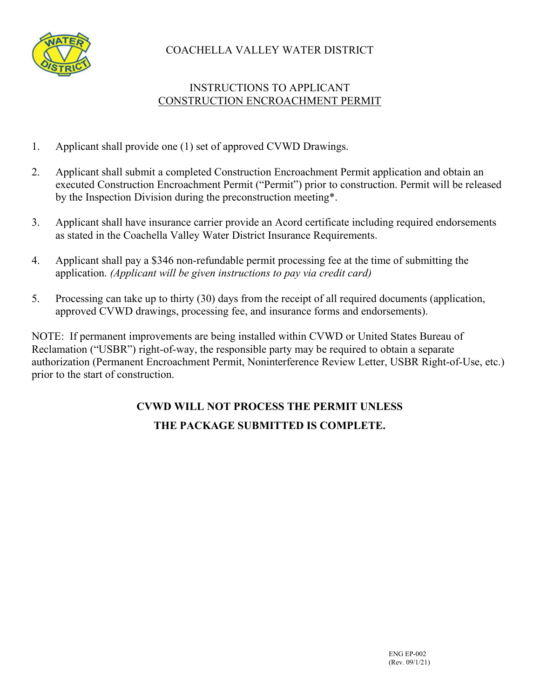

# COACHELLA VALLEY WATER DISTRICT

# INSTRUCTIONS TO APPLICANT CONSTRUCTION ENCROACHMENT PERMIT

- 1. Applicant shall provide one (1) set of approved CVWD Drawings.
- 2. Applicant shall submit a completed Construction Encroachment Permit application and obtain an executed Construction Encroachment Permit ("Permit") prior to construction. Permit will be released by the Inspection Division during the preconstruction meeting\*.
- 3. Applicant shall have insurance carrier provide an Acord certificate including required endorsements as stated in the Coachella Valley Water District Insurance Requirements.
- 4. Applicant shall pay a \$346 non-refundable permit processing fee at the time of submitting the application. *(Applicant will be given instructions to pay via credit card)*
- 5. Processing can take up to thirty (30) days from the receipt of all required documents (application, approved CVWD drawings, processing fee, and insurance forms and endorsements).

NOTE: If permanent improvements are being installed within CVWD or United States Bureau of Reclamation ("USBR") right-of-way, the responsible party may be required to obtain a separate authorization (Permanent Encroachment Permit, Noninterference Review Letter, USBR Right-of-Use, etc.) prior to the start of construction.

# **CVWD WILL NOT PROCESS THE PERMIT UNLESS THE PACKAGE SUBMITTED IS COMPLETE.**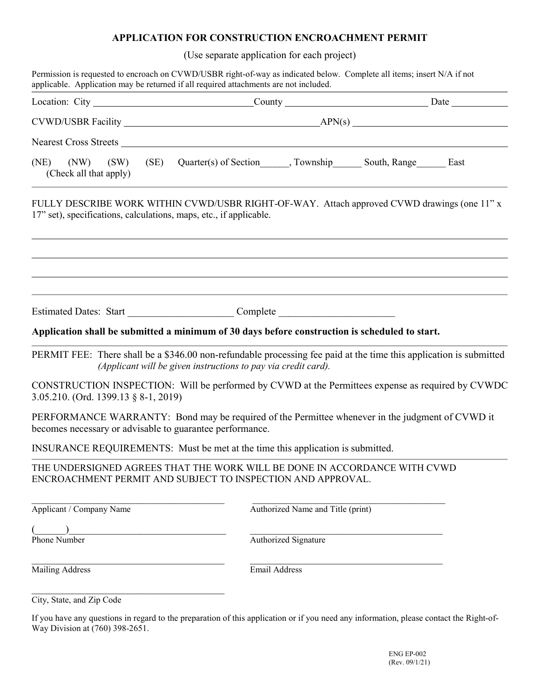## **APPLICATION FOR CONSTRUCTION ENCROACHMENT PERMIT**

(Use separate application for each project)

| Permission is requested to encroach on CVWD/USBR right-of-way as indicated below. Complete all items; insert N/A if not<br>applicable. Application may be returned if all required attachments are not included. |                                                                |                                                                                  |
|------------------------------------------------------------------------------------------------------------------------------------------------------------------------------------------------------------------|----------------------------------------------------------------|----------------------------------------------------------------------------------|
|                                                                                                                                                                                                                  |                                                                |                                                                                  |
|                                                                                                                                                                                                                  |                                                                |                                                                                  |
| Nearest Cross Streets                                                                                                                                                                                            |                                                                |                                                                                  |
| (NE) (NW) (SW) (SE) Quarter(s) of Section ______, Township ________ South, Range ________ East<br>(Check all that apply)                                                                                         |                                                                |                                                                                  |
| FULLY DESCRIBE WORK WITHIN CVWD/USBR RIGHT-OF-WAY. Attach approved CVWD drawings (one 11" x<br>17" set), specifications, calculations, maps, etc., if applicable.                                                |                                                                |                                                                                  |
| Application shall be submitted a minimum of 30 days before construction is scheduled to start.                                                                                                                   |                                                                | ,我们也不会有什么。""我们的人,我们也不会有什么?""我们的人,我们也不会有什么?""我们的人,我们也不会有什么?""我们的人,我们也不会有什么?""我们的人 |
|                                                                                                                                                                                                                  |                                                                |                                                                                  |
| PERMIT FEE: There shall be a \$346.00 non-refundable processing fee paid at the time this application is submitted                                                                                               | (Applicant will be given instructions to pay via credit card). |                                                                                  |
| CONSTRUCTION INSPECTION: Will be performed by CVWD at the Permittees expense as required by CVWDC<br>3.05.210. (Ord. 1399.13 § 8-1, 2019)                                                                        |                                                                |                                                                                  |
| PERFORMANCE WARRANTY: Bond may be required of the Permittee whenever in the judgment of CVWD it<br>becomes necessary or advisable to guarantee performance.                                                      |                                                                |                                                                                  |
| INSURANCE REQUIREMENTS: Must be met at the time this application is submitted.                                                                                                                                   |                                                                |                                                                                  |
| THE UNDERSIGNED AGREES THAT THE WORK WILL BE DONE IN ACCORDANCE WITH CVWD<br>ENCROACHMENT PERMIT AND SUBJECT TO INSPECTION AND APPROVAL.                                                                         |                                                                |                                                                                  |
| Applicant / Company Name                                                                                                                                                                                         | Authorized Name and Title (print)                              |                                                                                  |
| Phone Number                                                                                                                                                                                                     | Authorized Signature                                           |                                                                                  |
| Mailing Address                                                                                                                                                                                                  | Email Address                                                  |                                                                                  |
| City, State, and Zip Code                                                                                                                                                                                        |                                                                |                                                                                  |

If you have any questions in regard to the preparation of this application or if you need any information, please contact the Right-of-Way Division at (760) 398-2651.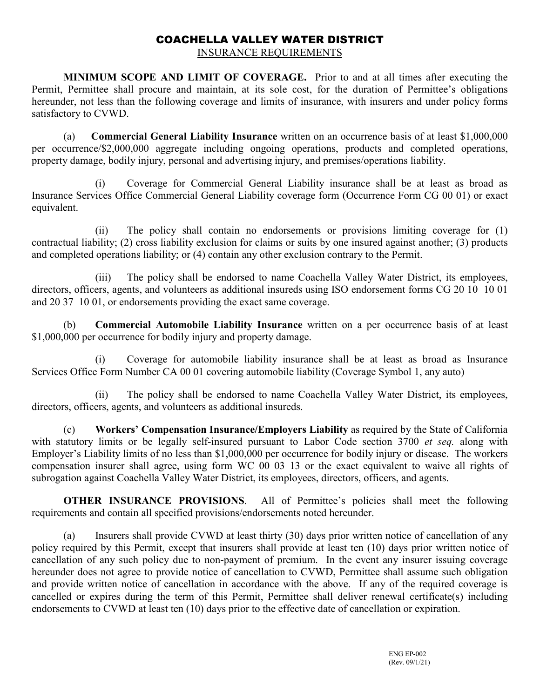# COACHELLA VALLEY WATER DISTRICT

INSURANCE REQUIREMENTS

**MINIMUM SCOPE AND LIMIT OF COVERAGE.** Prior to and at all times after executing the Permit, Permittee shall procure and maintain, at its sole cost, for the duration of Permittee's obligations hereunder, not less than the following coverage and limits of insurance, with insurers and under policy forms satisfactory to CVWD.

(a) **Commercial General Liability Insurance** written on an occurrence basis of at least \$1,000,000 per occurrence/\$2,000,000 aggregate including ongoing operations, products and completed operations, property damage, bodily injury, personal and advertising injury, and premises/operations liability.

(i) Coverage for Commercial General Liability insurance shall be at least as broad as Insurance Services Office Commercial General Liability coverage form (Occurrence Form CG 00 01) or exact equivalent.

(ii) The policy shall contain no endorsements or provisions limiting coverage for (1) contractual liability; (2) cross liability exclusion for claims or suits by one insured against another; (3) products and completed operations liability; or (4) contain any other exclusion contrary to the Permit.

(iii) The policy shall be endorsed to name Coachella Valley Water District, its employees, directors, officers, agents, and volunteers as additional insureds using ISO endorsement forms CG 20 10 10 01 and 20 37 10 01, or endorsements providing the exact same coverage.

(b) **Commercial Automobile Liability Insurance** written on a per occurrence basis of at least \$1,000,000 per occurrence for bodily injury and property damage.

(i) Coverage for automobile liability insurance shall be at least as broad as Insurance Services Office Form Number CA 00 01 covering automobile liability (Coverage Symbol 1, any auto)

(ii) The policy shall be endorsed to name Coachella Valley Water District, its employees, directors, officers, agents, and volunteers as additional insureds.

(c) **Workers' Compensation Insurance/Employers Liability** as required by the State of California with statutory limits or be legally self-insured pursuant to Labor Code section 3700 *et seq.* along with Employer's Liability limits of no less than \$1,000,000 per occurrence for bodily injury or disease. The workers compensation insurer shall agree, using form WC 00 03 13 or the exact equivalent to waive all rights of subrogation against Coachella Valley Water District, its employees, directors, officers, and agents.

**OTHER INSURANCE PROVISIONS**. All of Permittee's policies shall meet the following requirements and contain all specified provisions/endorsements noted hereunder.

(a) Insurers shall provide CVWD at least thirty (30) days prior written notice of cancellation of any policy required by this Permit, except that insurers shall provide at least ten (10) days prior written notice of cancellation of any such policy due to non-payment of premium. In the event any insurer issuing coverage hereunder does not agree to provide notice of cancellation to CVWD, Permittee shall assume such obligation and provide written notice of cancellation in accordance with the above. If any of the required coverage is cancelled or expires during the term of this Permit, Permittee shall deliver renewal certificate(s) including endorsements to CVWD at least ten (10) days prior to the effective date of cancellation or expiration.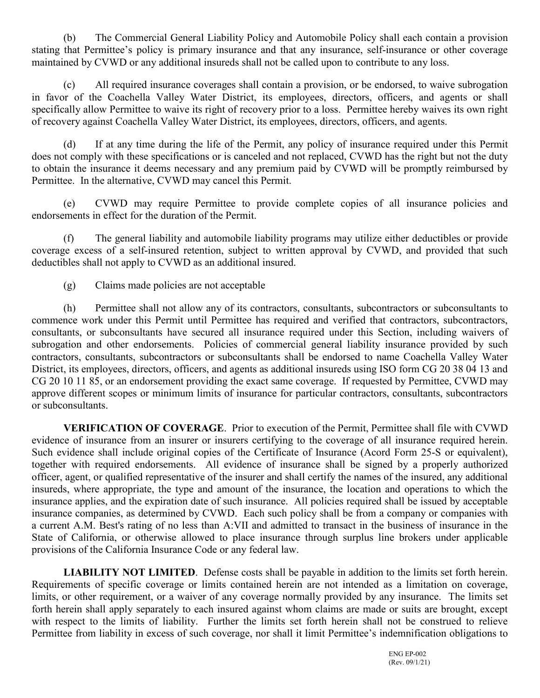(b) The Commercial General Liability Policy and Automobile Policy shall each contain a provision stating that Permittee's policy is primary insurance and that any insurance, self-insurance or other coverage maintained by CVWD or any additional insureds shall not be called upon to contribute to any loss.

(c) All required insurance coverages shall contain a provision, or be endorsed, to waive subrogation in favor of the Coachella Valley Water District, its employees, directors, officers, and agents or shall specifically allow Permittee to waive its right of recovery prior to a loss. Permittee hereby waives its own right of recovery against Coachella Valley Water District, its employees, directors, officers, and agents.

(d) If at any time during the life of the Permit, any policy of insurance required under this Permit does not comply with these specifications or is canceled and not replaced, CVWD has the right but not the duty to obtain the insurance it deems necessary and any premium paid by CVWD will be promptly reimbursed by Permittee. In the alternative, CVWD may cancel this Permit.

(e) CVWD may require Permittee to provide complete copies of all insurance policies and endorsements in effect for the duration of the Permit.

(f) The general liability and automobile liability programs may utilize either deductibles or provide coverage excess of a self-insured retention, subject to written approval by CVWD, and provided that such deductibles shall not apply to CVWD as an additional insured.

(g) Claims made policies are not acceptable

(h) Permittee shall not allow any of its contractors, consultants, subcontractors or subconsultants to commence work under this Permit until Permittee has required and verified that contractors, subcontractors, consultants, or subconsultants have secured all insurance required under this Section, including waivers of subrogation and other endorsements. Policies of commercial general liability insurance provided by such contractors, consultants, subcontractors or subconsultants shall be endorsed to name Coachella Valley Water District, its employees, directors, officers, and agents as additional insureds using ISO form CG 20 38 04 13 and CG 20 10 11 85, or an endorsement providing the exact same coverage. If requested by Permittee, CVWD may approve different scopes or minimum limits of insurance for particular contractors, consultants, subcontractors or subconsultants.

**VERIFICATION OF COVERAGE**. Prior to execution of the Permit, Permittee shall file with CVWD evidence of insurance from an insurer or insurers certifying to the coverage of all insurance required herein. Such evidence shall include original copies of the Certificate of Insurance (Acord Form 25-S or equivalent), together with required endorsements. All evidence of insurance shall be signed by a properly authorized officer, agent, or qualified representative of the insurer and shall certify the names of the insured, any additional insureds, where appropriate, the type and amount of the insurance, the location and operations to which the insurance applies, and the expiration date of such insurance. All policies required shall be issued by acceptable insurance companies, as determined by CVWD. Each such policy shall be from a company or companies with a current A.M. Best's rating of no less than A:VII and admitted to transact in the business of insurance in the State of California, or otherwise allowed to place insurance through surplus line brokers under applicable provisions of the California Insurance Code or any federal law.

**LIABILITY NOT LIMITED**. Defense costs shall be payable in addition to the limits set forth herein. Requirements of specific coverage or limits contained herein are not intended as a limitation on coverage, limits, or other requirement, or a waiver of any coverage normally provided by any insurance. The limits set forth herein shall apply separately to each insured against whom claims are made or suits are brought, except with respect to the limits of liability. Further the limits set forth herein shall not be construed to relieve Permittee from liability in excess of such coverage, nor shall it limit Permittee's indemnification obligations to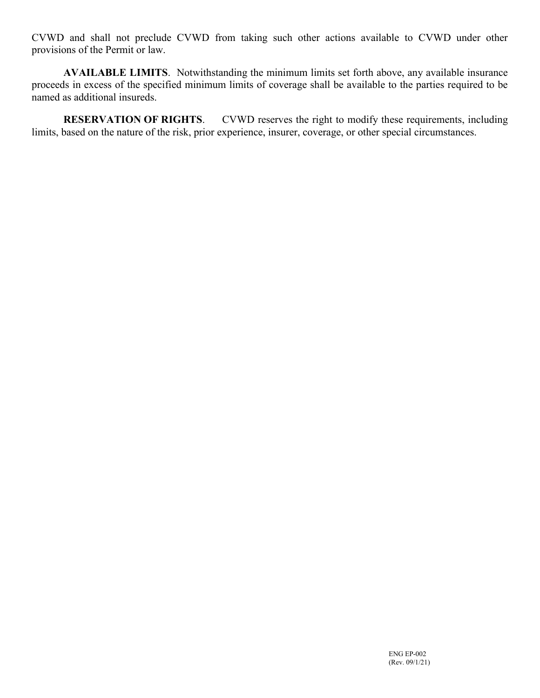CVWD and shall not preclude CVWD from taking such other actions available to CVWD under other provisions of the Permit or law.

**AVAILABLE LIMITS**. Notwithstanding the minimum limits set forth above, any available insurance proceeds in excess of the specified minimum limits of coverage shall be available to the parties required to be named as additional insureds.

**RESERVATION OF RIGHTS.** CVWD reserves the right to modify these requirements, including limits, based on the nature of the risk, prior experience, insurer, coverage, or other special circumstances.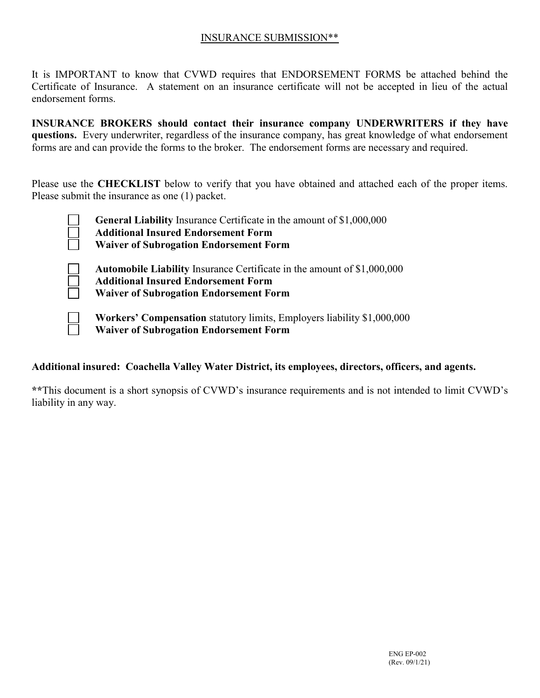### INSURANCE SUBMISSION\*\*

It is IMPORTANT to know that CVWD requires that ENDORSEMENT FORMS be attached behind the Certificate of Insurance. A statement on an insurance certificate will not be accepted in lieu of the actual endorsement forms.

**INSURANCE BROKERS should contact their insurance company UNDERWRITERS if they have questions.** Every underwriter, regardless of the insurance company, has great knowledge of what endorsement forms are and can provide the forms to the broker. The endorsement forms are necessary and required.

Please use the **CHECKLIST** below to verify that you have obtained and attached each of the proper items. Please submit the insurance as one (1) packet.

| <b>General Liability</b> Insurance Certificate in the amount of \$1,000,000<br><b>Additional Insured Endorsement Form</b><br><b>Waiver of Subrogation Endorsement Form</b>    |
|-------------------------------------------------------------------------------------------------------------------------------------------------------------------------------|
| <b>Automobile Liability Insurance Certificate in the amount of \$1,000,000</b><br><b>Additional Insured Endorsement Form</b><br><b>Waiver of Subrogation Endorsement Form</b> |
| Workers' Compensation statutory limits, Employers liability \$1,000,000                                                                                                       |

**Waiver of Subrogation Endorsement Form**

### **Additional insured: Coachella Valley Water District, its employees, directors, officers, and agents.**

**\*\***This document is a short synopsis of CVWD's insurance requirements and is not intended to limit CVWD's liability in any way.